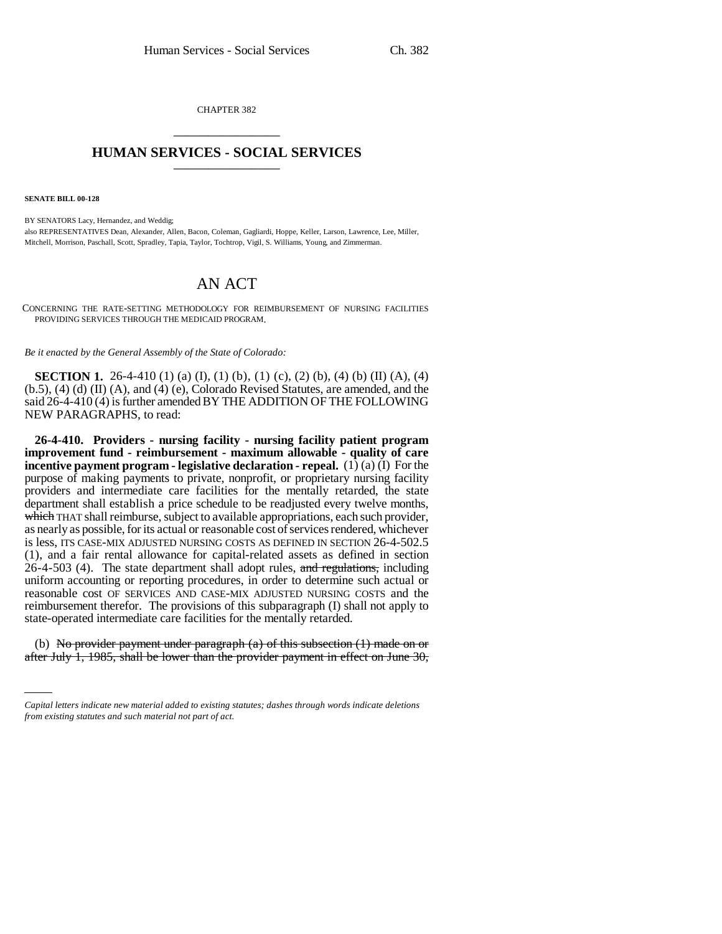CHAPTER 382 \_\_\_\_\_\_\_\_\_\_\_\_\_\_\_

## **HUMAN SERVICES - SOCIAL SERVICES** \_\_\_\_\_\_\_\_\_\_\_\_\_\_\_

**SENATE BILL 00-128** 

BY SENATORS Lacy, Hernandez, and Weddig; also REPRESENTATIVES Dean, Alexander, Allen, Bacon, Coleman, Gagliardi, Hoppe, Keller, Larson, Lawrence, Lee, Miller, Mitchell, Morrison, Paschall, Scott, Spradley, Tapia, Taylor, Tochtrop, Vigil, S. Williams, Young, and Zimmerman.

## AN ACT

CONCERNING THE RATE-SETTING METHODOLOGY FOR REIMBURSEMENT OF NURSING FACILITIES PROVIDING SERVICES THROUGH THE MEDICAID PROGRAM.

*Be it enacted by the General Assembly of the State of Colorado:*

**SECTION 1.** 26-4-410 (1) (a) (I), (1) (b), (1) (c), (2) (b), (4) (b) (II) (A), (4) (b.5), (4) (d) (II) (A), and (4) (e), Colorado Revised Statutes, are amended, and the said 26-4-410 (4) is further amended BY THE ADDITION OF THE FOLLOWING NEW PARAGRAPHS, to read:

**26-4-410. Providers - nursing facility - nursing facility patient program improvement fund - reimbursement - maximum allowable - quality of care incentive payment program - legislative declaration - repeal.**  $(1)$   $(a)$   $(1)$  For the purpose of making payments to private, nonprofit, or proprietary nursing facility providers and intermediate care facilities for the mentally retarded, the state department shall establish a price schedule to be readjusted every twelve months, which THAT shall reimburse, subject to available appropriations, each such provider, as nearly as possible, for its actual or reasonable cost of services rendered, whichever is less, ITS CASE-MIX ADJUSTED NURSING COSTS AS DEFINED IN SECTION 26-4-502.5 (1), and a fair rental allowance for capital-related assets as defined in section  $26-4-503$  (4). The state department shall adopt rules, and regulations, including uniform accounting or reporting procedures, in order to determine such actual or reasonable cost OF SERVICES AND CASE-MIX ADJUSTED NURSING COSTS and the reimbursement therefor. The provisions of this subparagraph (I) shall not apply to state-operated intermediate care facilities for the mentally retarded.

(b) No provider payment under paragraph  $(a)$  of this subsection  $(1)$  made on or after July 1, 1985, shall be lower than the provider payment in effect on June 30,

*Capital letters indicate new material added to existing statutes; dashes through words indicate deletions from existing statutes and such material not part of act.*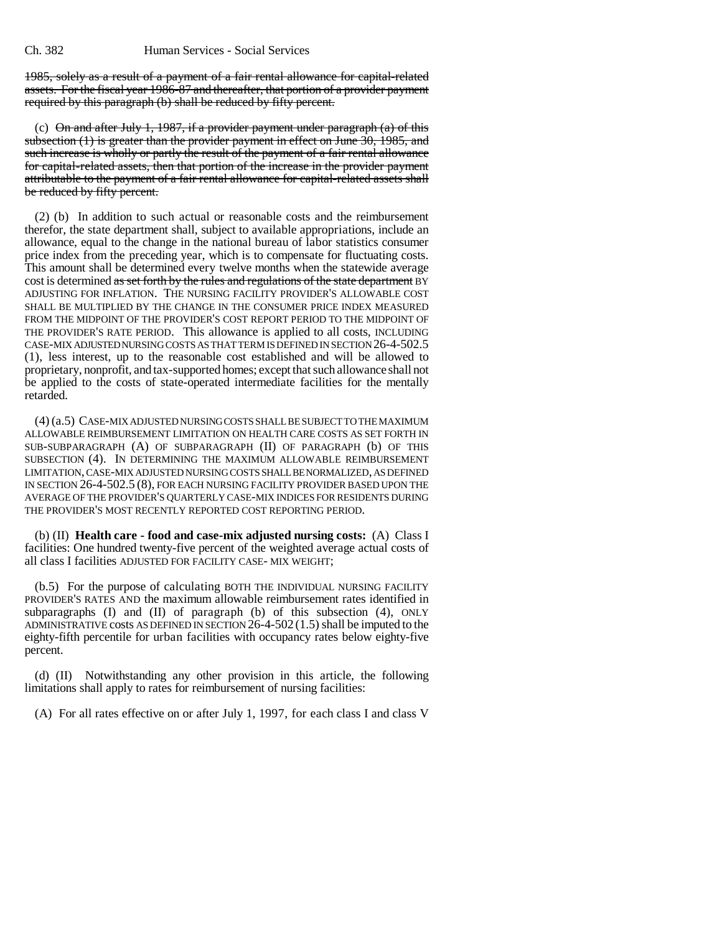1985, solely as a result of a payment of a fair rental allowance for capital-related assets. For the fiscal year 1986-87 and thereafter, that portion of a provider payment required by this paragraph (b) shall be reduced by fifty percent.

(c) On and after July 1, 1987, if a provider payment under paragraph  $(a)$  of this subsection (1) is greater than the provider payment in effect on June 30, 1985, and such increase is wholly or partly the result of the payment of a fair rental allowance for capital-related assets, then that portion of the increase in the provider payment attributable to the payment of a fair rental allowance for capital-related assets shall be reduced by fifty percent.

(2) (b) In addition to such actual or reasonable costs and the reimbursement therefor, the state department shall, subject to available appropriations, include an allowance, equal to the change in the national bureau of labor statistics consumer price index from the preceding year, which is to compensate for fluctuating costs. This amount shall be determined every twelve months when the statewide average cost is determined as set forth by the rules and regulations of the state department BY ADJUSTING FOR INFLATION. THE NURSING FACILITY PROVIDER'S ALLOWABLE COST SHALL BE MULTIPLIED BY THE CHANGE IN THE CONSUMER PRICE INDEX MEASURED FROM THE MIDPOINT OF THE PROVIDER'S COST REPORT PERIOD TO THE MIDPOINT OF THE PROVIDER'S RATE PERIOD. This allowance is applied to all costs, INCLUDING CASE-MIX ADJUSTED NURSING COSTS AS THAT TERM IS DEFINED IN SECTION 26-4-502.5 (1), less interest, up to the reasonable cost established and will be allowed to proprietary, nonprofit, and tax-supported homes; except that such allowance shall not be applied to the costs of state-operated intermediate facilities for the mentally retarded.

(4) (a.5) CASE-MIX ADJUSTED NURSING COSTS SHALL BE SUBJECT TO THE MAXIMUM ALLOWABLE REIMBURSEMENT LIMITATION ON HEALTH CARE COSTS AS SET FORTH IN SUB-SUBPARAGRAPH (A) OF SUBPARAGRAPH (II) OF PARAGRAPH (b) OF THIS SUBSECTION (4). IN DETERMINING THE MAXIMUM ALLOWABLE REIMBURSEMENT LIMITATION, CASE-MIX ADJUSTED NURSING COSTS SHALL BE NORMALIZED, AS DEFINED IN SECTION 26-4-502.5 (8), FOR EACH NURSING FACILITY PROVIDER BASED UPON THE AVERAGE OF THE PROVIDER'S QUARTERLY CASE-MIX INDICES FOR RESIDENTS DURING THE PROVIDER'S MOST RECENTLY REPORTED COST REPORTING PERIOD.

(b) (II) **Health care - food and case-mix adjusted nursing costs:** (A) Class I facilities: One hundred twenty-five percent of the weighted average actual costs of all class I facilities ADJUSTED FOR FACILITY CASE- MIX WEIGHT;

(b.5) For the purpose of calculating BOTH THE INDIVIDUAL NURSING FACILITY PROVIDER'S RATES AND the maximum allowable reimbursement rates identified in subparagraphs  $(I)$  and  $(II)$  of paragraph  $(b)$  of this subsection  $(4)$ , ONLY ADMINISTRATIVE costs AS DEFINED IN SECTION 26-4-502 (1.5) shall be imputed to the eighty-fifth percentile for urban facilities with occupancy rates below eighty-five percent.

(d) (II) Notwithstanding any other provision in this article, the following limitations shall apply to rates for reimbursement of nursing facilities:

(A) For all rates effective on or after July 1, 1997, for each class I and class V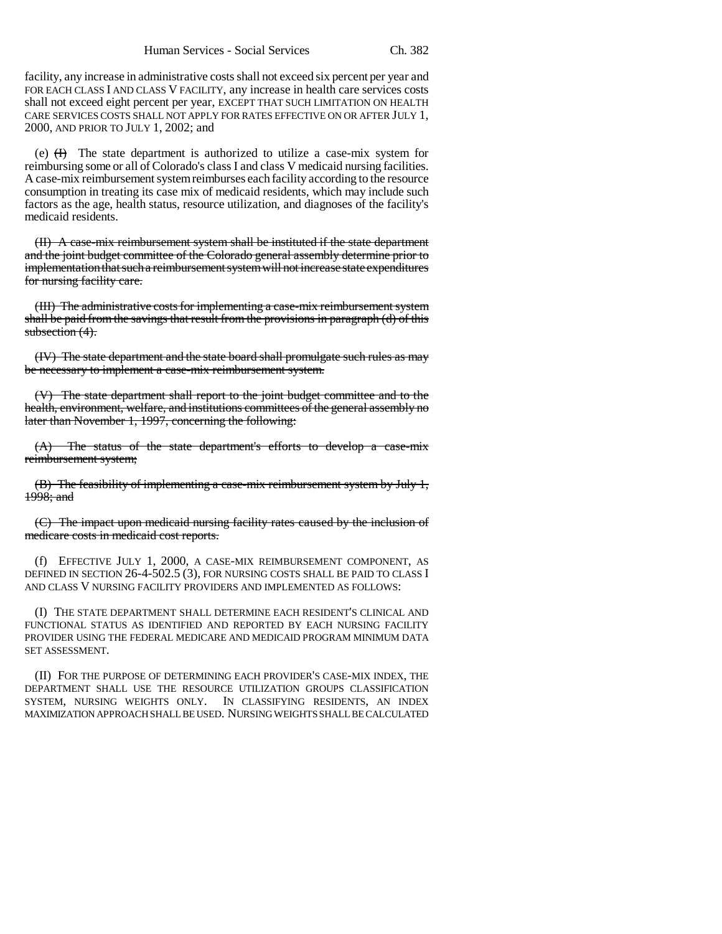facility, any increase in administrative costs shall not exceed six percent per year and FOR EACH CLASS I AND CLASS V FACILITY, any increase in health care services costs shall not exceed eight percent per year, EXCEPT THAT SUCH LIMITATION ON HEALTH CARE SERVICES COSTS SHALL NOT APPLY FOR RATES EFFECTIVE ON OR AFTER JULY 1, 2000, AND PRIOR TO JULY 1, 2002; and

(e)  $(H)$  The state department is authorized to utilize a case-mix system for reimbursing some or all of Colorado's class I and class V medicaid nursing facilities. A case-mix reimbursement system reimburses each facility according to the resource consumption in treating its case mix of medicaid residents, which may include such factors as the age, health status, resource utilization, and diagnoses of the facility's medicaid residents.

(II) A case-mix reimbursement system shall be instituted if the state department and the joint budget committee of the Colorado general assembly determine prior to implementation that such a reimbursement system will not increase state expenditures for nursing facility care.

(III) The administrative costs for implementing a case-mix reimbursement system shall be paid from the savings that result from the provisions in paragraph (d) of this subsection (4).

(IV) The state department and the state board shall promulgate such rules as may be necessary to implement a case-mix reimbursement system.

(V) The state department shall report to the joint budget committee and to the health, environment, welfare, and institutions committees of the general assembly no later than November 1, 1997, concerning the following:

(A) The status of the state department's efforts to develop a case-mix reimbursement system;

(B) The feasibility of implementing a case-mix reimbursement system by July 1, 1998; and

(C) The impact upon medicaid nursing facility rates caused by the inclusion of medicare costs in medicaid cost reports.

(f) EFFECTIVE JULY 1, 2000, A CASE-MIX REIMBURSEMENT COMPONENT, AS DEFINED IN SECTION 26-4-502.5 (3), FOR NURSING COSTS SHALL BE PAID TO CLASS I AND CLASS V NURSING FACILITY PROVIDERS AND IMPLEMENTED AS FOLLOWS:

(I) THE STATE DEPARTMENT SHALL DETERMINE EACH RESIDENT'S CLINICAL AND FUNCTIONAL STATUS AS IDENTIFIED AND REPORTED BY EACH NURSING FACILITY PROVIDER USING THE FEDERAL MEDICARE AND MEDICAID PROGRAM MINIMUM DATA SET ASSESSMENT.

(II) FOR THE PURPOSE OF DETERMINING EACH PROVIDER'S CASE-MIX INDEX, THE DEPARTMENT SHALL USE THE RESOURCE UTILIZATION GROUPS CLASSIFICATION SYSTEM, NURSING WEIGHTS ONLY. IN CLASSIFYING RESIDENTS, AN INDEX MAXIMIZATION APPROACH SHALL BE USED. NURSING WEIGHTS SHALL BE CALCULATED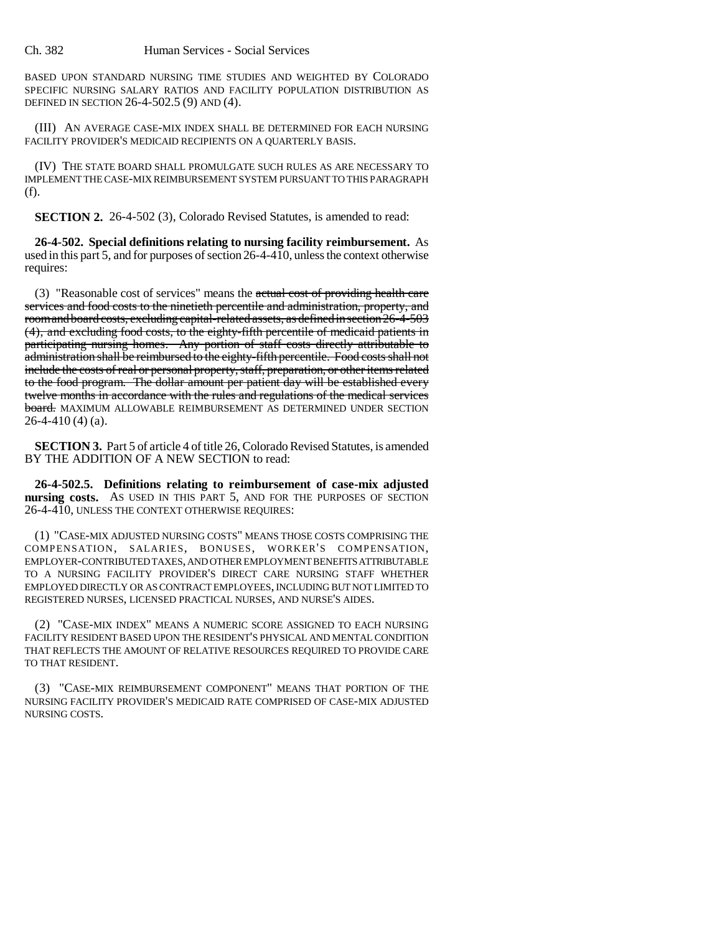BASED UPON STANDARD NURSING TIME STUDIES AND WEIGHTED BY COLORADO SPECIFIC NURSING SALARY RATIOS AND FACILITY POPULATION DISTRIBUTION AS DEFINED IN SECTION 26-4-502.5 (9) AND (4).

(III) AN AVERAGE CASE-MIX INDEX SHALL BE DETERMINED FOR EACH NURSING FACILITY PROVIDER'S MEDICAID RECIPIENTS ON A QUARTERLY BASIS.

(IV) THE STATE BOARD SHALL PROMULGATE SUCH RULES AS ARE NECESSARY TO IMPLEMENT THE CASE-MIX REIMBURSEMENT SYSTEM PURSUANT TO THIS PARAGRAPH (f).

**SECTION 2.** 26-4-502 (3), Colorado Revised Statutes, is amended to read:

**26-4-502. Special definitions relating to nursing facility reimbursement.** As used in this part 5, and for purposes of section 26-4-410, unless the context otherwise requires:

(3) "Reasonable cost of services" means the actual cost of providing health care services and food costs to the ninetieth percentile and administration, property, and room and board costs, excluding capital-related assets, as defined in section 26-4-503 (4), and excluding food costs, to the eighty-fifth percentile of medicaid patients in participating nursing homes. Any portion of staff costs directly attributable to administration shall be reimbursed to the eighty-fifth percentile. Food costs shall not include the costs of real or personal property, staff, preparation, or other items related to the food program. The dollar amount per patient day will be established every twelve months in accordance with the rules and regulations of the medical services board. MAXIMUM ALLOWABLE REIMBURSEMENT AS DETERMINED UNDER SECTION  $26-4-410(4)$  (a).

**SECTION 3.** Part 5 of article 4 of title 26, Colorado Revised Statutes, is amended BY THE ADDITION OF A NEW SECTION to read:

**26-4-502.5. Definitions relating to reimbursement of case-mix adjusted nursing costs.** AS USED IN THIS PART 5, AND FOR THE PURPOSES OF SECTION 26-4-410, UNLESS THE CONTEXT OTHERWISE REQUIRES:

(1) "CASE-MIX ADJUSTED NURSING COSTS" MEANS THOSE COSTS COMPRISING THE COMPENSATION, SALARIES, BONUSES, WORKER'S COMPENSATION, EMPLOYER-CONTRIBUTED TAXES, AND OTHER EMPLOYMENT BENEFITS ATTRIBUTABLE TO A NURSING FACILITY PROVIDER'S DIRECT CARE NURSING STAFF WHETHER EMPLOYED DIRECTLY OR AS CONTRACT EMPLOYEES, INCLUDING BUT NOT LIMITED TO REGISTERED NURSES, LICENSED PRACTICAL NURSES, AND NURSE'S AIDES.

(2) "CASE-MIX INDEX" MEANS A NUMERIC SCORE ASSIGNED TO EACH NURSING FACILITY RESIDENT BASED UPON THE RESIDENT'S PHYSICAL AND MENTAL CONDITION THAT REFLECTS THE AMOUNT OF RELATIVE RESOURCES REQUIRED TO PROVIDE CARE TO THAT RESIDENT.

(3) "CASE-MIX REIMBURSEMENT COMPONENT" MEANS THAT PORTION OF THE NURSING FACILITY PROVIDER'S MEDICAID RATE COMPRISED OF CASE-MIX ADJUSTED NURSING COSTS.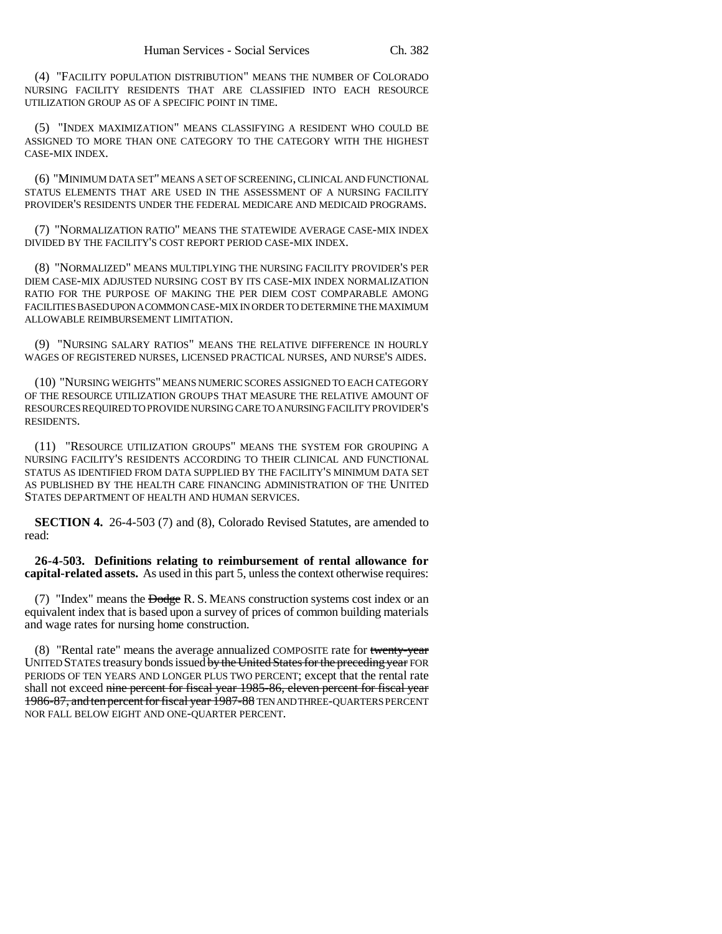(4) "FACILITY POPULATION DISTRIBUTION" MEANS THE NUMBER OF COLORADO NURSING FACILITY RESIDENTS THAT ARE CLASSIFIED INTO EACH RESOURCE UTILIZATION GROUP AS OF A SPECIFIC POINT IN TIME.

(5) "INDEX MAXIMIZATION" MEANS CLASSIFYING A RESIDENT WHO COULD BE ASSIGNED TO MORE THAN ONE CATEGORY TO THE CATEGORY WITH THE HIGHEST CASE-MIX INDEX.

(6) "MINIMUM DATA SET" MEANS A SET OF SCREENING, CLINICAL AND FUNCTIONAL STATUS ELEMENTS THAT ARE USED IN THE ASSESSMENT OF A NURSING FACILITY PROVIDER'S RESIDENTS UNDER THE FEDERAL MEDICARE AND MEDICAID PROGRAMS.

(7) "NORMALIZATION RATIO" MEANS THE STATEWIDE AVERAGE CASE-MIX INDEX DIVIDED BY THE FACILITY'S COST REPORT PERIOD CASE-MIX INDEX.

(8) "NORMALIZED" MEANS MULTIPLYING THE NURSING FACILITY PROVIDER'S PER DIEM CASE-MIX ADJUSTED NURSING COST BY ITS CASE-MIX INDEX NORMALIZATION RATIO FOR THE PURPOSE OF MAKING THE PER DIEM COST COMPARABLE AMONG FACILITIES BASED UPON A COMMON CASE-MIX IN ORDER TO DETERMINE THE MAXIMUM ALLOWABLE REIMBURSEMENT LIMITATION.

(9) "NURSING SALARY RATIOS" MEANS THE RELATIVE DIFFERENCE IN HOURLY WAGES OF REGISTERED NURSES, LICENSED PRACTICAL NURSES, AND NURSE'S AIDES.

(10) "NURSING WEIGHTS" MEANS NUMERIC SCORES ASSIGNED TO EACH CATEGORY OF THE RESOURCE UTILIZATION GROUPS THAT MEASURE THE RELATIVE AMOUNT OF RESOURCES REQUIRED TO PROVIDE NURSING CARE TO A NURSING FACILITY PROVIDER'S RESIDENTS.

(11) "RESOURCE UTILIZATION GROUPS" MEANS THE SYSTEM FOR GROUPING A NURSING FACILITY'S RESIDENTS ACCORDING TO THEIR CLINICAL AND FUNCTIONAL STATUS AS IDENTIFIED FROM DATA SUPPLIED BY THE FACILITY'S MINIMUM DATA SET AS PUBLISHED BY THE HEALTH CARE FINANCING ADMINISTRATION OF THE UNITED STATES DEPARTMENT OF HEALTH AND HUMAN SERVICES.

**SECTION 4.** 26-4-503 (7) and (8), Colorado Revised Statutes, are amended to read:

**26-4-503. Definitions relating to reimbursement of rental allowance for capital-related assets.** As used in this part 5, unless the context otherwise requires:

 $(7)$  "Index" means the  $\overline{\text{Dodge}}$  R. S. MEANS construction systems cost index or an equivalent index that is based upon a survey of prices of common building materials and wage rates for nursing home construction.

(8) "Rental rate" means the average annualized COMPOSITE rate for twenty-year UNITED STATES treasury bonds issued by the United States for the preceding year FOR PERIODS OF TEN YEARS AND LONGER PLUS TWO PERCENT; except that the rental rate shall not exceed nine percent for fiscal year 1985-86, eleven percent for fiscal year 1986-87, and ten percent for fiscal year 1987-88 TEN AND THREE-QUARTERS PERCENT NOR FALL BELOW EIGHT AND ONE-QUARTER PERCENT.